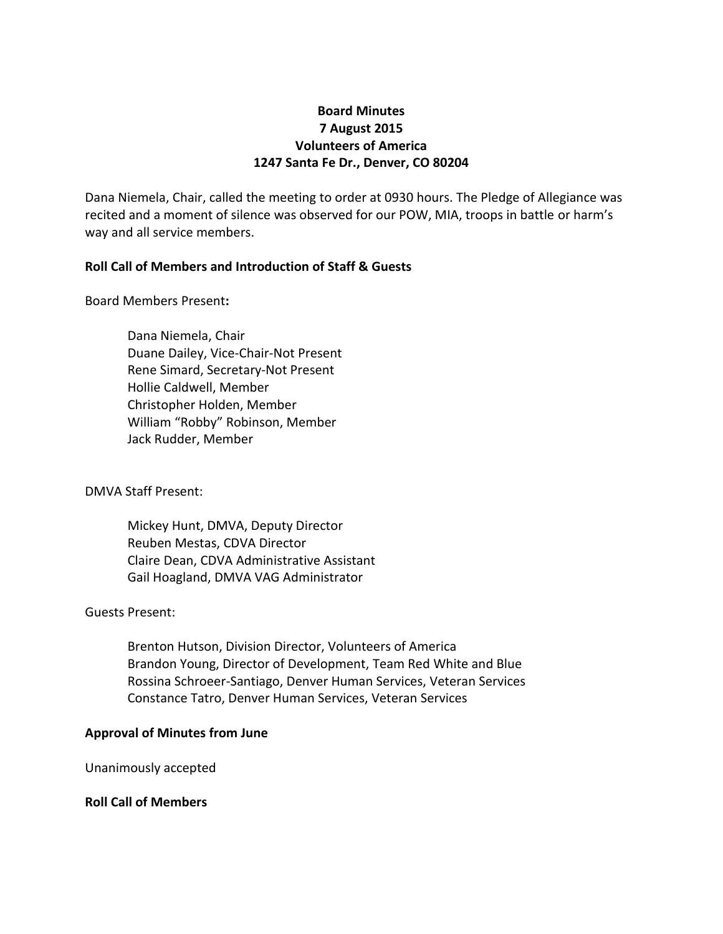# **Board Minutes 7 August 2015 Volunteers of America 1247 Santa Fe Dr., Denver, CO 80204**

Dana Niemela, Chair, called the meeting to order at 0930 hours. The Pledge of Allegiance was recited and a moment of silence was observed for our POW, MIA, troops in battle or harm's way and all service members.

## **Roll Call of Members and Introduction of Staff & Guests**

Board Members Present**:**

Dana Niemela, Chair Duane Dailey, Vice-Chair-Not Present Rene Simard, Secretary-Not Present Hollie Caldwell, Member Christopher Holden, Member William "Robby" Robinson, Member Jack Rudder, Member

DMVA Staff Present:

Mickey Hunt, DMVA, Deputy Director Reuben Mestas, CDVA Director Claire Dean, CDVA Administrative Assistant Gail Hoagland, DMVA VAG Administrator

### Guests Present:

Brenton Hutson, Division Director, Volunteers of America Brandon Young, Director of Development, Team Red White and Blue Rossina Schroeer-Santiago, Denver Human Services, Veteran Services Constance Tatro, Denver Human Services, Veteran Services

### **Approval of Minutes from June**

Unanimously accepted

**Roll Call of Members**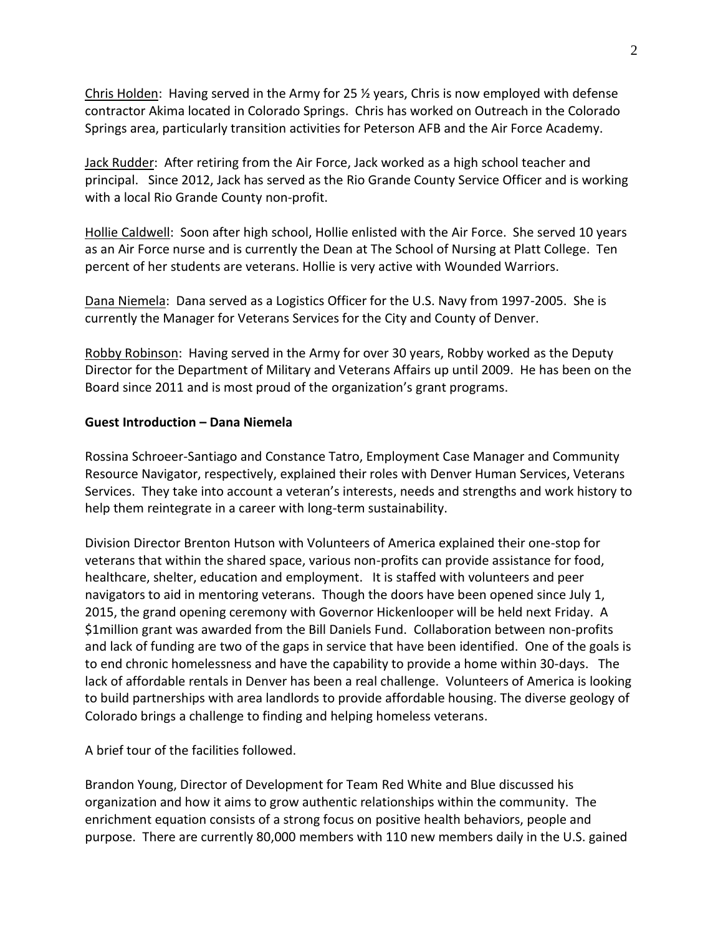Chris Holden: Having served in the Army for 25 ½ years, Chris is now employed with defense contractor Akima located in Colorado Springs. Chris has worked on Outreach in the Colorado Springs area, particularly transition activities for Peterson AFB and the Air Force Academy.

Jack Rudder: After retiring from the Air Force, Jack worked as a high school teacher and principal. Since 2012, Jack has served as the Rio Grande County Service Officer and is working with a local Rio Grande County non-profit.

Hollie Caldwell: Soon after high school, Hollie enlisted with the Air Force. She served 10 years as an Air Force nurse and is currently the Dean at The School of Nursing at Platt College. Ten percent of her students are veterans. Hollie is very active with Wounded Warriors.

Dana Niemela: Dana served as a Logistics Officer for the U.S. Navy from 1997-2005. She is currently the Manager for Veterans Services for the City and County of Denver.

Robby Robinson: Having served in the Army for over 30 years, Robby worked as the Deputy Director for the Department of Military and Veterans Affairs up until 2009. He has been on the Board since 2011 and is most proud of the organization's grant programs.

## **Guest Introduction – Dana Niemela**

Rossina Schroeer-Santiago and Constance Tatro, Employment Case Manager and Community Resource Navigator, respectively, explained their roles with Denver Human Services, Veterans Services. They take into account a veteran's interests, needs and strengths and work history to help them reintegrate in a career with long-term sustainability.

Division Director Brenton Hutson with Volunteers of America explained their one-stop for veterans that within the shared space, various non-profits can provide assistance for food, healthcare, shelter, education and employment. It is staffed with volunteers and peer navigators to aid in mentoring veterans. Though the doors have been opened since July 1, 2015, the grand opening ceremony with Governor Hickenlooper will be held next Friday. A \$1million grant was awarded from the Bill Daniels Fund. Collaboration between non-profits and lack of funding are two of the gaps in service that have been identified. One of the goals is to end chronic homelessness and have the capability to provide a home within 30-days. The lack of affordable rentals in Denver has been a real challenge. Volunteers of America is looking to build partnerships with area landlords to provide affordable housing. The diverse geology of Colorado brings a challenge to finding and helping homeless veterans.

A brief tour of the facilities followed.

Brandon Young, Director of Development for Team Red White and Blue discussed his organization and how it aims to grow authentic relationships within the community. The enrichment equation consists of a strong focus on positive health behaviors, people and purpose. There are currently 80,000 members with 110 new members daily in the U.S. gained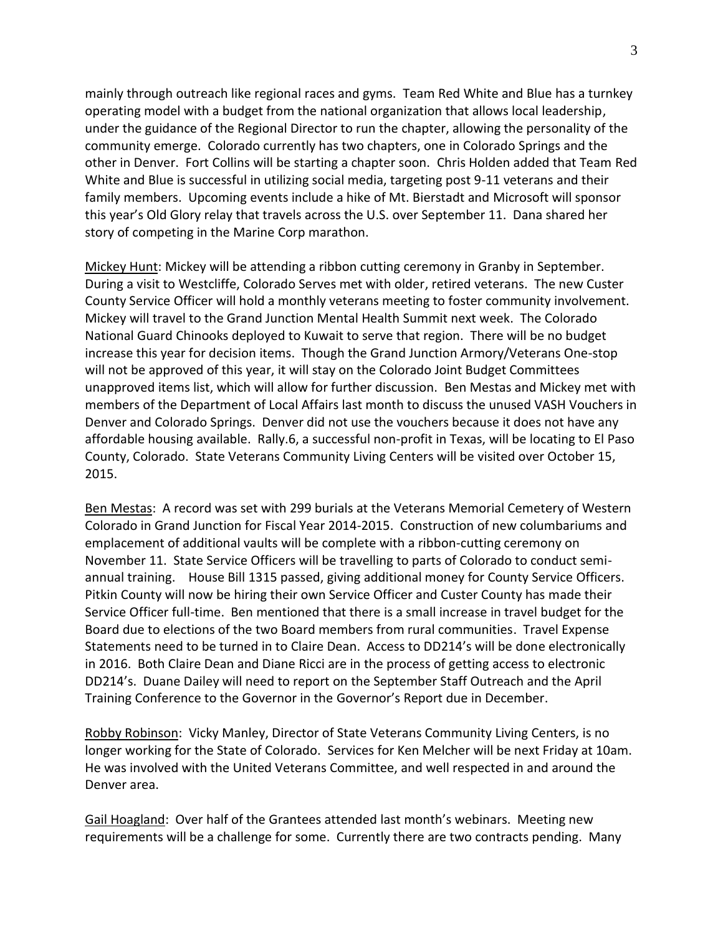mainly through outreach like regional races and gyms. Team Red White and Blue has a turnkey operating model with a budget from the national organization that allows local leadership, under the guidance of the Regional Director to run the chapter, allowing the personality of the community emerge. Colorado currently has two chapters, one in Colorado Springs and the other in Denver. Fort Collins will be starting a chapter soon. Chris Holden added that Team Red White and Blue is successful in utilizing social media, targeting post 9-11 veterans and their family members. Upcoming events include a hike of Mt. Bierstadt and Microsoft will sponsor this year's Old Glory relay that travels across the U.S. over September 11. Dana shared her story of competing in the Marine Corp marathon.

Mickey Hunt: Mickey will be attending a ribbon cutting ceremony in Granby in September. During a visit to Westcliffe, Colorado Serves met with older, retired veterans. The new Custer County Service Officer will hold a monthly veterans meeting to foster community involvement. Mickey will travel to the Grand Junction Mental Health Summit next week. The Colorado National Guard Chinooks deployed to Kuwait to serve that region. There will be no budget increase this year for decision items. Though the Grand Junction Armory/Veterans One-stop will not be approved of this year, it will stay on the Colorado Joint Budget Committees unapproved items list, which will allow for further discussion. Ben Mestas and Mickey met with members of the Department of Local Affairs last month to discuss the unused VASH Vouchers in Denver and Colorado Springs. Denver did not use the vouchers because it does not have any affordable housing available. Rally.6, a successful non-profit in Texas, will be locating to El Paso County, Colorado. State Veterans Community Living Centers will be visited over October 15, 2015.

Ben Mestas: A record was set with 299 burials at the Veterans Memorial Cemetery of Western Colorado in Grand Junction for Fiscal Year 2014-2015. Construction of new columbariums and emplacement of additional vaults will be complete with a ribbon-cutting ceremony on November 11. State Service Officers will be travelling to parts of Colorado to conduct semiannual training. House Bill 1315 passed, giving additional money for County Service Officers. Pitkin County will now be hiring their own Service Officer and Custer County has made their Service Officer full-time. Ben mentioned that there is a small increase in travel budget for the Board due to elections of the two Board members from rural communities. Travel Expense Statements need to be turned in to Claire Dean. Access to DD214's will be done electronically in 2016. Both Claire Dean and Diane Ricci are in the process of getting access to electronic DD214's. Duane Dailey will need to report on the September Staff Outreach and the April Training Conference to the Governor in the Governor's Report due in December.

Robby Robinson: Vicky Manley, Director of State Veterans Community Living Centers, is no longer working for the State of Colorado. Services for Ken Melcher will be next Friday at 10am. He was involved with the United Veterans Committee, and well respected in and around the Denver area.

Gail Hoagland: Over half of the Grantees attended last month's webinars. Meeting new requirements will be a challenge for some. Currently there are two contracts pending. Many